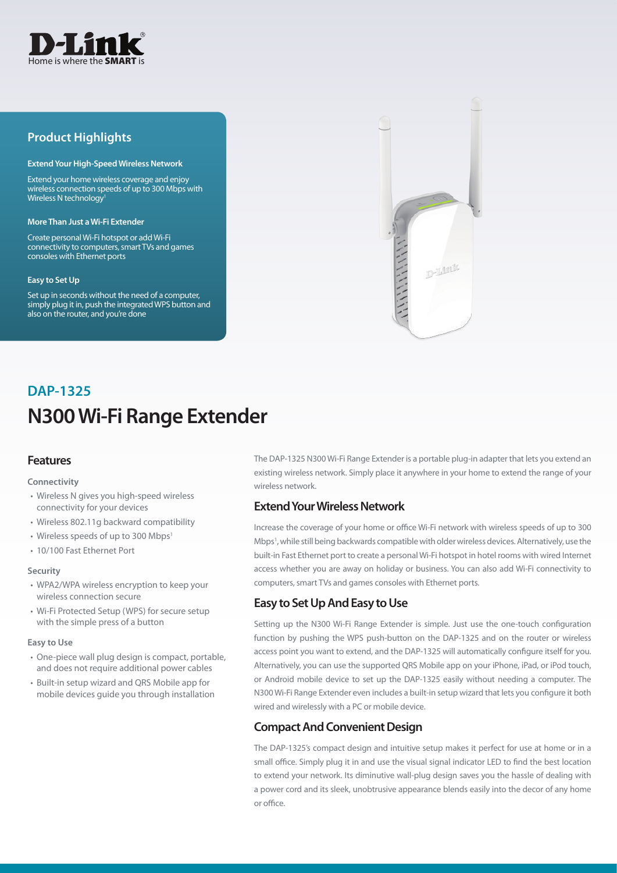

# **Product Highlights**

#### **Extend Your High-Speed Wireless Network**

Extend your home wireless coverage and enjoy wireless connection speeds of up to 300 Mbps with Wireless N technology<sup>1</sup>

#### **More Than Just a Wi-Fi Extender**

Create personal Wi-Fi hotspot or add Wi-Fi connectivity to computers, smart TVs and games consoles with Ethernet ports

#### **Easy to Set Up**

Set up in seconds without the need of a computer, simply plug it in, push the integrated WPS button and also on the router, and you're done



# **N300 Wi-Fi Range Extender DAP-1325**

# **Features**

#### **Connectivity**

- Wireless N gives you high-speed wireless connectivity for your devices
- Wireless 802.11g backward compatibility
- Wireless speeds of up to 300 Mbps<sup>1</sup>
- 10/100 Fast Ethernet Port

#### **Security**

- WPA2/WPA wireless encryption to keep your wireless connection secure
- Wi-Fi Protected Setup (WPS) for secure setup with the simple press of a button

#### **Easy to Use**

- One-piece wall plug design is compact, portable, and does not require additional power cables
- Built-in setup wizard and QRS Mobile app for mobile devices guide you through installation

The DAP-1325 N300 Wi-Fi Range Extender is a portable plug-in adapter that lets you extend an existing wireless network. Simply place it anywhere in your home to extend the range of your wireless network.

## **Extend Your Wireless Network**

Increase the coverage of your home or office Wi-Fi network with wireless speeds of up to 300 Mbps<sup>1</sup>, while still being backwards compatible with older wireless devices. Alternatively, use the built-in Fast Ethernet port to create a personal Wi-Fi hotspot in hotel rooms with wired Internet access whether you are away on holiday or business. You can also add Wi-Fi connectivity to computers, smart TVs and games consoles with Ethernet ports.

# **Easy to Set Up And Easy to Use**

Setting up the N300 Wi-Fi Range Extender is simple. Just use the one-touch configuration function by pushing the WPS push-button on the DAP-1325 and on the router or wireless access point you want to extend, and the DAP-1325 will automatically configure itself for you. Alternatively, you can use the supported QRS Mobile app on your iPhone, iPad, or iPod touch, or Android mobile device to set up the DAP-1325 easily without needing a computer. The N300 Wi-Fi Range Extender even includes a built-in setup wizard that lets you configure it both wired and wirelessly with a PC or mobile device.

# **Compact And Convenient Design**

The DAP-1325's compact design and intuitive setup makes it perfect for use at home or in a small office. Simply plug it in and use the visual signal indicator LED to find the best location to extend your network. Its diminutive wall-plug design saves you the hassle of dealing with a power cord and its sleek, unobtrusive appearance blends easily into the decor of any home or office.